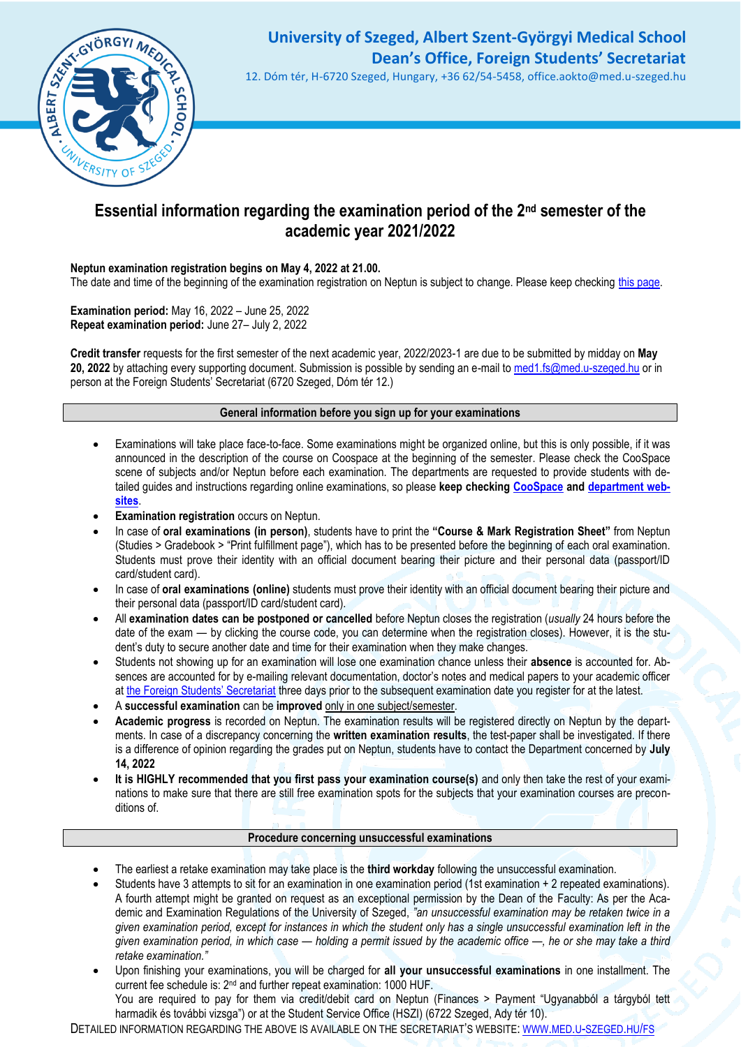

# **University of Szeged, Albert Szent-Györgyi Medical School Dean's Office, Foreign Students' Secretariat**

12. Dóm tér, H-6720 Szeged, Hungary, +36 62/54-5458, office.aokto@med.u-szeged.hu

### **Essential information regarding the examination period of the 2nd semester of the academic year 2021/2022**

### **Neptun examination registration begins on May 4, 2022 at 21.00.**

The date and time of the beginning of the examination registration on Neptun is subject to change. Please keep checking [this page.](http://web5.etr.u-szeged.hu:8080/naptar/Megnyitasrend/index.jsp?felev=2021-2022-2&kurzfel=N&lang=english)

**Examination period:** May 16, 2022 – June 25, 2022 **Repeat examination period:** June 27– July 2, 2022

**Credit transfer** requests for the first semester of the next academic year, 2022/2023-1 are due to be submitted by midday on **May 20, 2022** by attaching every supporting document. Submission is possible by sending an e-mail to [med1.fs@med.u-szeged.hu](mailto:med1.fs@med.u-szeged.hu) or in person at the Foreign Students' Secretariat (6720 Szeged, Dóm tér 12.)

#### **General information before you sign up for your examinations**

- Examinations will take place face-to-face. Some examinations might be organized online, but this is only possible, if it was announced in the description of the course on Coospace at the beginning of the semester. Please check the CooSpace scene of subjects and/or Neptun before each examination. The departments are requested to provide students with detailed guides and instructions regarding online examinations, so please **keep checking [CooSpace](https://www.coosp.etr.u-szeged.hu/?_lang=en) and [department web](http://www.med.u-szeged.hu/fs/departments-of-the/departments-of-the)[sites](http://www.med.u-szeged.hu/fs/departments-of-the/departments-of-the)**.
- **Examination registration occurs on Neptun.**
- In case of **oral examinations (in person)**, students have to print the **"Course & Mark Registration Sheet"** from Neptun (Studies > Gradebook > "Print fulfillment page"), which has to be presented before the beginning of each oral examination. Students must prove their identity with an official document bearing their picture and their personal data (passport/ID card/student card).
- In case of **oral examinations (online)** students must prove their identity with an official document bearing their picture and their personal data (passport/ID card/student card).
- All **examination dates can be postponed or cancelled** before Neptun closes the registration (*usually* 24 hours before the date of the exam — by clicking the course code, you can determine when the registration closes). However, it is the student's duty to secure another date and time for their examination when they make changes.
- Students not showing up for an examination will lose one examination chance unless their **absence** is accounted for. Absences are accounted for by e-mailing relevant documentation, doctor's notes and medical papers to your academic officer at [the Foreign Students' Secretariat](http://www.med.u-szeged.hu/fs/foreign-students/foreign-students) three days prior to the subsequent examination date you register for at the latest.
- A **successful examination** can be **improved** only in one subject/semester.
- **Academic progress** is recorded on Neptun. The examination results will be registered directly on Neptun by the departments. In case of a discrepancy concerning the **written examination results**, the test-paper shall be investigated. If there is a difference of opinion regarding the grades put on Neptun, students have to contact the Department concerned by **July 14, 2022**
- **It is HIGHLY recommended that you first pass your examination course(s)** and only then take the rest of your examinations to make sure that there are still free examination spots for the subjects that your examination courses are preconditions of.

#### **Procedure concerning unsuccessful examinations**

- The earliest a retake examination may take place is the **third workday** following the unsuccessful examination.
- Students have 3 attempts to sit for an examination in one examination period (1st examination + 2 repeated examinations). A fourth attempt might be granted on request as an exceptional permission by the Dean of the Faculty: As per the Academic and Examination Regulations of the University of Szeged, *"an unsuccessful examination may be retaken twice in a given examination period, except for instances in which the student only has a single unsuccessful examination left in the given examination period, in which case — holding a permit issued by the academic office —, he or she may take a third retake examination."*
- Upon finishing your examinations, you will be charged for **all your unsuccessful examinations** in one installment. The current fee schedule is: 2nd and further repeat examination: 1000 HUF. You are required to pay for them via credit/debit card on Neptun (Finances > Payment "Ugyanabból a tárgyból tett harmadik és további vizsga") or at the Student Service Office (HSZI) (6722 Szeged, Ady tér 10).

DETAILED INFORMATION REGARDING THE ABOVE IS AVAILABLE ON THE SECRETARIAT'S WEBSITE: WWW.MED.U-SZEGED.HU/FS